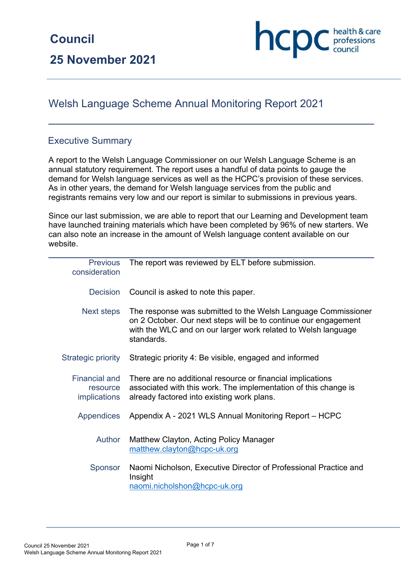# Welsh Language Scheme Annual Monitoring Report 2021

## Executive Summary

A report to the Welsh Language Commissioner on our Welsh Language Scheme is an annual statutory requirement. The report uses a handful of data points to gauge the demand for Welsh language services as well as the HCPC's provision of these services. As in other years, the demand for Welsh language services from the public and registrants remains very low and our report is similar to submissions in previous years.

Since our last submission, we are able to report that our Learning and Development team have launched training materials which have been completed by 96% of new starters. We can also note an increase in the amount of Welsh language content available on our website.

| <b>Previous</b><br>consideration                        | The report was reviewed by ELT before submission.                                                                                                                                                               |
|---------------------------------------------------------|-----------------------------------------------------------------------------------------------------------------------------------------------------------------------------------------------------------------|
| <b>Decision</b>                                         | Council is asked to note this paper.                                                                                                                                                                            |
| Next steps                                              | The response was submitted to the Welsh Language Commissioner<br>on 2 October. Our next steps will be to continue our engagement<br>with the WLC and on our larger work related to Welsh language<br>standards. |
| <b>Strategic priority</b>                               | Strategic priority 4: Be visible, engaged and informed                                                                                                                                                          |
| <b>Financial and</b><br>resource<br><i>implications</i> | There are no additional resource or financial implications<br>associated with this work. The implementation of this change is<br>already factored into existing work plans.                                     |
| <b>Appendices</b>                                       | Appendix A - 2021 WLS Annual Monitoring Report – HCPC                                                                                                                                                           |
| Author                                                  | Matthew Clayton, Acting Policy Manager<br>matthew.clayton@hcpc-uk.org                                                                                                                                           |
| Sponsor                                                 | Naomi Nicholson, Executive Director of Professional Practice and<br>Insight<br>naomi.nicholshon@hcpc-uk.org                                                                                                     |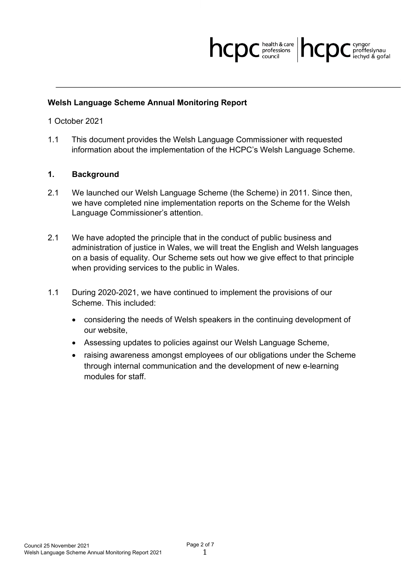

#### **Welsh Language Scheme Annual Monitoring Report**

1 October 2021

1.1 This document provides the Welsh Language Commissioner with requested information about the implementation of the HCPC's Welsh Language Scheme.

#### **1. Background**

- 2.1 We launched our Welsh Language Scheme (the Scheme) in 2011. Since then, we have completed nine implementation reports on the Scheme for the Welsh Language Commissioner's attention.
- 2.1 We have adopted the principle that in the conduct of public business and administration of justice in Wales, we will treat the English and Welsh languages on a basis of equality. Our Scheme sets out how we give effect to that principle when providing services to the public in Wales.
- 1.1 During 2020-2021, we have continued to implement the provisions of our Scheme. This included:
	- considering the needs of Welsh speakers in the continuing development of our website,
	- Assessing updates to policies against our Welsh Language Scheme,
	- raising awareness amongst employees of our obligations under the Scheme through internal communication and the development of new e-learning modules for staff.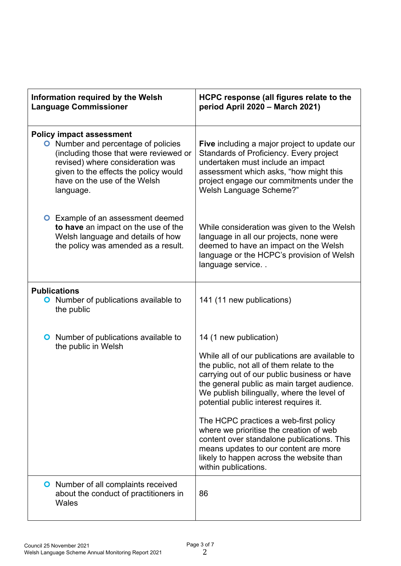| Information required by the Welsh<br><b>Language Commissioner</b>                                                                                                                                                                                 | HCPC response (all figures relate to the<br>period April 2020 - March 2021)                                                                                                                                                                                                                                                                                                                                                                                                                                                                                |
|---------------------------------------------------------------------------------------------------------------------------------------------------------------------------------------------------------------------------------------------------|------------------------------------------------------------------------------------------------------------------------------------------------------------------------------------------------------------------------------------------------------------------------------------------------------------------------------------------------------------------------------------------------------------------------------------------------------------------------------------------------------------------------------------------------------------|
| <b>Policy impact assessment</b><br><b>O</b> Number and percentage of policies<br>(including those that were reviewed or<br>revised) where consideration was<br>given to the effects the policy would<br>have on the use of the Welsh<br>language. | Five including a major project to update our<br>Standards of Proficiency. Every project<br>undertaken must include an impact<br>assessment which asks, "how might this<br>project engage our commitments under the<br>Welsh Language Scheme?"                                                                                                                                                                                                                                                                                                              |
| <b>O</b> Example of an assessment deemed<br>to have an impact on the use of the<br>Welsh language and details of how<br>the policy was amended as a result.                                                                                       | While consideration was given to the Welsh<br>language in all our projects, none were<br>deemed to have an impact on the Welsh<br>language or the HCPC's provision of Welsh<br>language service                                                                                                                                                                                                                                                                                                                                                            |
| <b>Publications</b><br><b>O</b> Number of publications available to<br>the public                                                                                                                                                                 | 141 (11 new publications)                                                                                                                                                                                                                                                                                                                                                                                                                                                                                                                                  |
| <b>O</b> Number of publications available to<br>the public in Welsh                                                                                                                                                                               | 14 (1 new publication)<br>While all of our publications are available to<br>the public, not all of them relate to the<br>carrying out of our public business or have<br>the general public as main target audience.<br>We publish bilingually, where the level of<br>potential public interest requires it.<br>The HCPC practices a web-first policy<br>where we prioritise the creation of web<br>content over standalone publications. This<br>means updates to our content are more<br>likely to happen across the website than<br>within publications. |
| <b>O</b> Number of all complaints received<br>about the conduct of practitioners in<br>Wales                                                                                                                                                      | 86                                                                                                                                                                                                                                                                                                                                                                                                                                                                                                                                                         |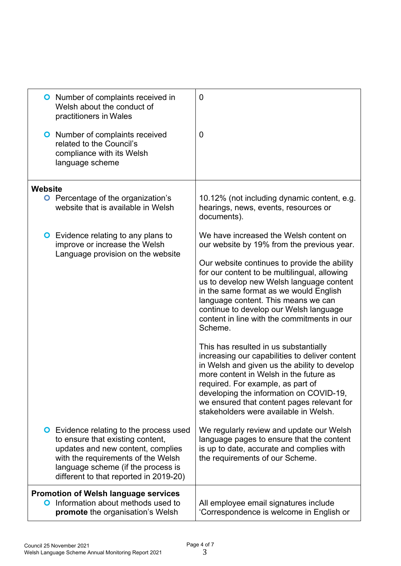| <b>O</b> Number of complaints received in<br>Welsh about the conduct of<br>practitioners in Wales<br><b>O</b> Number of complaints received<br>related to the Council's<br>compliance with its Welsh                                          | 0<br>0                                                                                                                                                                                                                                                                                                                                                   |
|-----------------------------------------------------------------------------------------------------------------------------------------------------------------------------------------------------------------------------------------------|----------------------------------------------------------------------------------------------------------------------------------------------------------------------------------------------------------------------------------------------------------------------------------------------------------------------------------------------------------|
| language scheme                                                                                                                                                                                                                               |                                                                                                                                                                                                                                                                                                                                                          |
| Website                                                                                                                                                                                                                                       |                                                                                                                                                                                                                                                                                                                                                          |
| <b>O</b> Percentage of the organization's<br>website that is available in Welsh                                                                                                                                                               | 10.12% (not including dynamic content, e.g.<br>hearings, news, events, resources or<br>documents).                                                                                                                                                                                                                                                       |
| <b>O</b> Evidence relating to any plans to<br>improve or increase the Welsh<br>Language provision on the website                                                                                                                              | We have increased the Welsh content on<br>our website by 19% from the previous year.                                                                                                                                                                                                                                                                     |
|                                                                                                                                                                                                                                               | Our website continues to provide the ability<br>for our content to be multilingual, allowing<br>us to develop new Welsh language content<br>in the same format as we would English<br>language content. This means we can<br>continue to develop our Welsh language<br>content in line with the commitments in our<br>Scheme.                            |
|                                                                                                                                                                                                                                               | This has resulted in us substantially<br>increasing our capabilities to deliver content<br>in Welsh and given us the ability to develop<br>more content in Welsh in the future as<br>required. For example, as part of<br>developing the information on COVID-19,<br>we ensured that content pages relevant for<br>stakeholders were available in Welsh. |
| <b>O</b> Evidence relating to the process used<br>to ensure that existing content,<br>updates and new content, complies<br>with the requirements of the Welsh<br>language scheme (if the process is<br>different to that reported in 2019-20) | We regularly review and update our Welsh<br>language pages to ensure that the content<br>is up to date, accurate and complies with<br>the requirements of our Scheme.                                                                                                                                                                                    |
| <b>Promotion of Welsh language services</b><br>Information about methods used to<br>O<br>promote the organisation's Welsh                                                                                                                     | All employee email signatures include<br>'Correspondence is welcome in English or                                                                                                                                                                                                                                                                        |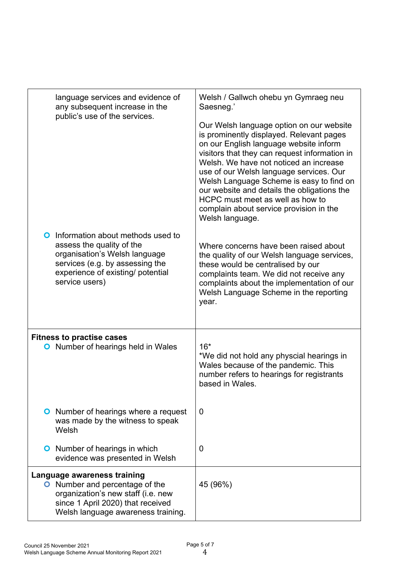| language services and evidence of<br>any subsequent increase in the<br>public's use of the services.                                                                                           | Welsh / Gallwch ohebu yn Gymraeg neu<br>Saesneg.'                                                                                                                                                                                                                                                                                                                                                                                                                 |
|------------------------------------------------------------------------------------------------------------------------------------------------------------------------------------------------|-------------------------------------------------------------------------------------------------------------------------------------------------------------------------------------------------------------------------------------------------------------------------------------------------------------------------------------------------------------------------------------------------------------------------------------------------------------------|
|                                                                                                                                                                                                | Our Welsh language option on our website<br>is prominently displayed. Relevant pages<br>on our English language website inform<br>visitors that they can request information in<br>Welsh. We have not noticed an increase<br>use of our Welsh language services. Our<br>Welsh Language Scheme is easy to find on<br>our website and details the obligations the<br>HCPC must meet as well as how to<br>complain about service provision in the<br>Welsh language. |
| Information about methods used to<br>O<br>assess the quality of the<br>organisation's Welsh language<br>services (e.g. by assessing the<br>experience of existing/ potential<br>service users) | Where concerns have been raised about<br>the quality of our Welsh language services,<br>these would be centralised by our<br>complaints team. We did not receive any<br>complaints about the implementation of our<br>Welsh Language Scheme in the reporting<br>year.                                                                                                                                                                                             |
| <b>Fitness to practise cases</b><br>Number of hearings held in Wales<br>O                                                                                                                      | $16*$<br>*We did not hold any physcial hearings in<br>Wales because of the pandemic. This<br>number refers to hearings for registrants<br>based in Wales.                                                                                                                                                                                                                                                                                                         |
| <b>O</b> Number of hearings where a request<br>was made by the witness to speak<br>Welsh                                                                                                       | 0                                                                                                                                                                                                                                                                                                                                                                                                                                                                 |
| <b>O</b> Number of hearings in which<br>evidence was presented in Welsh                                                                                                                        | 0                                                                                                                                                                                                                                                                                                                                                                                                                                                                 |
| Language awareness training<br><b>O</b> Number and percentage of the<br>organization's new staff (i.e. new<br>since 1 April 2020) that received<br>Welsh language awareness training.          | 45 (96%)                                                                                                                                                                                                                                                                                                                                                                                                                                                          |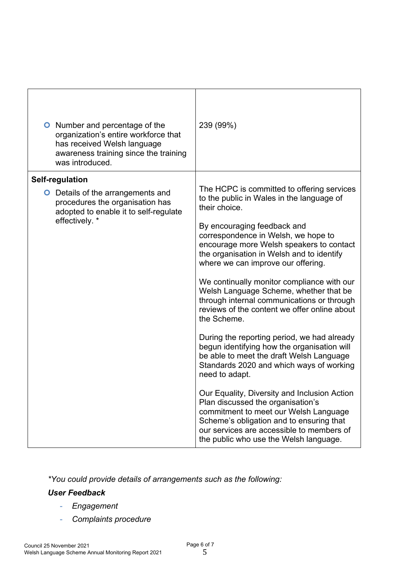| <b>O</b> Number and percentage of the<br>organization's entire workforce that<br>has received Welsh language<br>awareness training since the training<br>was introduced. | 239 (99%)                                                                                                                                                                                                                                                                                                                                                                                                                                                                                                                                                                                                                                                                                                                                                                                                                                                                                                                                                                                   |
|--------------------------------------------------------------------------------------------------------------------------------------------------------------------------|---------------------------------------------------------------------------------------------------------------------------------------------------------------------------------------------------------------------------------------------------------------------------------------------------------------------------------------------------------------------------------------------------------------------------------------------------------------------------------------------------------------------------------------------------------------------------------------------------------------------------------------------------------------------------------------------------------------------------------------------------------------------------------------------------------------------------------------------------------------------------------------------------------------------------------------------------------------------------------------------|
| Self-regulation                                                                                                                                                          |                                                                                                                                                                                                                                                                                                                                                                                                                                                                                                                                                                                                                                                                                                                                                                                                                                                                                                                                                                                             |
| <b>O</b> Details of the arrangements and<br>procedures the organisation has<br>adopted to enable it to self-regulate<br>effectively. *                                   | The HCPC is committed to offering services<br>to the public in Wales in the language of<br>their choice.<br>By encouraging feedback and<br>correspondence in Welsh, we hope to<br>encourage more Welsh speakers to contact<br>the organisation in Welsh and to identify<br>where we can improve our offering.<br>We continually monitor compliance with our<br>Welsh Language Scheme, whether that be<br>through internal communications or through<br>reviews of the content we offer online about<br>the Scheme.<br>During the reporting period, we had already<br>begun identifying how the organisation will<br>be able to meet the draft Welsh Language<br>Standards 2020 and which ways of working<br>need to adapt.<br>Our Equality, Diversity and Inclusion Action<br>Plan discussed the organisation's<br>commitment to meet our Welsh Language<br>Scheme's obligation and to ensuring that<br>our services are accessible to members of<br>the public who use the Welsh language. |

*\*You could provide details of arrangements such as the following:*

# *User Feedback*

- *Engagement*
- *Complaints procedure*